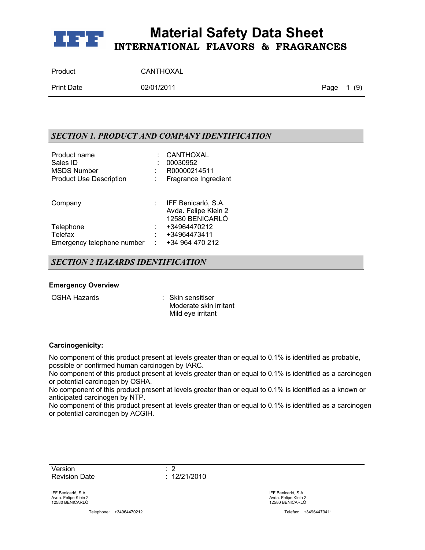

| Product    | CANTHOXAL  |            |  |
|------------|------------|------------|--|
| Print Date | 02/01/2011 | Page 1 (9) |  |

## *SECTION 1. PRODUCT AND COMPANY IDENTIFICATION*

| Product name<br>Sales ID<br><b>MSDS Number</b><br><b>Product Use Description</b> | CANTHOXAL<br>00030952<br>R00000214511<br>Fragrance Ingredient  |
|----------------------------------------------------------------------------------|----------------------------------------------------------------|
| Company                                                                          | IFF Benicarló, S.A.<br>Avda. Felipe Klein 2<br>12580 BENICARLÓ |
| Telephone<br><b>Telefax</b><br>Emergency telephone number                        | +34964470212<br>+34964473411<br>+34 964 470 212                |

### *SECTION 2 HAZARDS IDENTIFICATION*

#### **Emergency Overview**

OSHA Hazards : Skin sensitiser Moderate skin irritant Mild eye irritant

#### **Carcinogenicity:**

No component of this product present at levels greater than or equal to 0.1% is identified as probable, possible or confirmed human carcinogen by IARC.

No component of this product present at levels greater than or equal to 0.1% is identified as a carcinogen or potential carcinogen by OSHA.

No component of this product present at levels greater than or equal to 0.1% is identified as a known or anticipated carcinogen by NTP.

No component of this product present at levels greater than or equal to 0.1% is identified as a carcinogen or potential carcinogen by ACGIH.

Version : 2 Revision Date : 12/21/2010

IFF Benicarló, S.A. Avda. Felipe Klein 2 12580 BENICARLÓ

Telephone: +34964470212 Telefax: +34964473411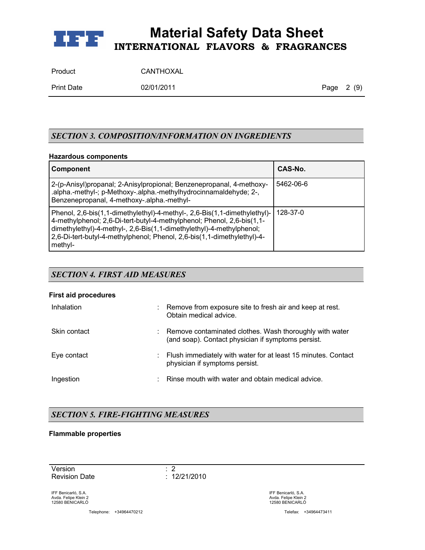

| Product | CANTHOXAL |
|---------|-----------|
|         |           |

Print Date 02/01/2011 02/01/2011 Page 2 (9)

## *SECTION 3. COMPOSITION/INFORMATION ON INGREDIENTS*

### **Hazardous components**

| <b>Component</b>                                                                                                                                                                                                                                                                                                  | CAS-No.        |
|-------------------------------------------------------------------------------------------------------------------------------------------------------------------------------------------------------------------------------------------------------------------------------------------------------------------|----------------|
| 2-(p-Anisyl)propanal; 2-Anisylpropional; Benzenepropanal, 4-methoxy-<br>.alpha.-methyl-; p-Methoxy-.alpha.-methylhydrocinnamaldehyde; 2-,<br>Benzenepropanal, 4-methoxy-.alpha.-methyl-                                                                                                                           | 5462-06-6      |
| Phenol, 2,6-bis(1,1-dimethylethyl)-4-methyl-, 2,6-Bis(1,1-dimethylethyl)-<br>4-methylphenol; 2,6-Di-tert-butyl-4-methylphenol; Phenol, 2,6-bis(1,1-<br>dimethylethyl)-4-methyl-, 2,6-Bis(1,1-dimethylethyl)-4-methylphenol;<br>2,6-Di-tert-butyl-4-methylphenol; Phenol, 2,6-bis(1,1-dimethylethyl)-4-<br>methyl- | $128 - 37 - 0$ |

## *SECTION 4. FIRST AID MEASURES*

#### **First aid procedures**

| Inhalation   | Remove from exposure site to fresh air and keep at rest.<br>Obtain medical advice.                            |
|--------------|---------------------------------------------------------------------------------------------------------------|
| Skin contact | Remove contaminated clothes. Wash thoroughly with water<br>(and soap). Contact physician if symptoms persist. |
| Eye contact  | Flush immediately with water for at least 15 minutes. Contact<br>physician if symptoms persist.               |
| Ingestion    | Rinse mouth with water and obtain medical advice.                                                             |

## *SECTION 5. FIRE-FIGHTING MEASURES*

### **Flammable properties**

Version : 2 Revision Date : 12/21/2010

IFF Benicarló, S.A. Avda. Felipe Klein 2 12580 BENICARLÓ

Telephone: +34964470212 Telefax: +34964473411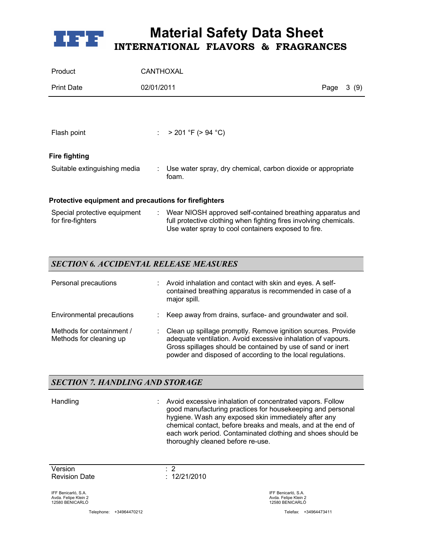

| Product                                               | CANTHOXAL  |                                                                                                                                                                                          |      |      |
|-------------------------------------------------------|------------|------------------------------------------------------------------------------------------------------------------------------------------------------------------------------------------|------|------|
| <b>Print Date</b>                                     | 02/01/2011 |                                                                                                                                                                                          | Page | 3(9) |
|                                                       |            |                                                                                                                                                                                          |      |      |
| Flash point                                           |            | : $> 201$ °F ( $> 94$ °C)                                                                                                                                                                |      |      |
| <b>Fire fighting</b>                                  |            |                                                                                                                                                                                          |      |      |
| Suitable extinguishing media                          |            | Use water spray, dry chemical, carbon dioxide or appropriate<br>foam.                                                                                                                    |      |      |
| Protective equipment and precautions for firefighters |            |                                                                                                                                                                                          |      |      |
| Special protective equipment<br>for fire-fighters     |            | : Wear NIOSH approved self-contained breathing apparatus and<br>full protective clothing when fighting fires involving chemicals.<br>Use water spray to cool containers exposed to fire. |      |      |

## *SECTION 6. ACCIDENTAL RELEASE MEASURES*

| Personal precautions                                 | Avoid inhalation and contact with skin and eyes. A self-<br>contained breathing apparatus is recommended in case of a<br>major spill.                                                                                                                     |
|------------------------------------------------------|-----------------------------------------------------------------------------------------------------------------------------------------------------------------------------------------------------------------------------------------------------------|
| Environmental precautions                            | Keep away from drains, surface- and groundwater and soil.                                                                                                                                                                                                 |
| Methods for containment /<br>Methods for cleaning up | Clean up spillage promptly. Remove ignition sources. Provide<br>adequate ventilation. Avoid excessive inhalation of vapours.<br>Gross spillages should be contained by use of sand or inert<br>powder and disposed of according to the local regulations. |

## *SECTION 7. HANDLING AND STORAGE*

Handling : Avoid excessive inhalation of concentrated vapors. Follow good manufacturing practices for housekeeping and personal hygiene. Wash any exposed skin immediately after any chemical contact, before breaks and meals, and at the end of each work period. Contaminated clothing and shoes should be thoroughly cleaned before re-use.

Version : 2 Revision Date : 12/21/2010

IFF Benicarló, S.A. Avda. Felipe Klein 2 12580 BENICARLÓ

Telephone: +34964470212 Telefax: +34964473411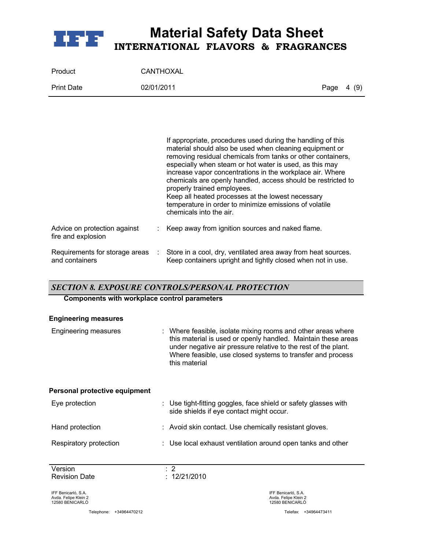

| Product           | CANTHOXAL  |            |  |
|-------------------|------------|------------|--|
| <b>Print Date</b> | 02/01/2011 | Page 4 (9) |  |

|                                                    |    | If appropriate, procedures used during the handling of this<br>material should also be used when cleaning equipment or<br>removing residual chemicals from tanks or other containers,<br>especially when steam or hot water is used, as this may<br>increase vapor concentrations in the workplace air. Where<br>chemicals are openly handled, access should be restricted to<br>properly trained employees.<br>Keep all heated processes at the lowest necessary<br>temperature in order to minimize emissions of volatile<br>chemicals into the air. |
|----------------------------------------------------|----|--------------------------------------------------------------------------------------------------------------------------------------------------------------------------------------------------------------------------------------------------------------------------------------------------------------------------------------------------------------------------------------------------------------------------------------------------------------------------------------------------------------------------------------------------------|
| Advice on protection against<br>fire and explosion |    | Keep away from ignition sources and naked flame.                                                                                                                                                                                                                                                                                                                                                                                                                                                                                                       |
| Requirements for storage areas<br>and containers   | ÷. | Store in a cool, dry, ventilated area away from heat sources.<br>Keep containers upright and tightly closed when not in use.                                                                                                                                                                                                                                                                                                                                                                                                                           |

## *SECTION 8. EXPOSURE CONTROLS/PERSONAL PROTECTION*

### **Components with workplace control parameters**

#### **Engineering measures**

| Engineering measures          | : Where feasible, isolate mixing rooms and other areas where<br>this material is used or openly handled. Maintain these areas<br>under negative air pressure relative to the rest of the plant.<br>Where feasible, use closed systems to transfer and process<br>this material |  |
|-------------------------------|--------------------------------------------------------------------------------------------------------------------------------------------------------------------------------------------------------------------------------------------------------------------------------|--|
| Personal protective equipment |                                                                                                                                                                                                                                                                                |  |
| Eye protection                | : Use tight-fitting goggles, face shield or safety glasses with<br>side shields if eye contact might occur.                                                                                                                                                                    |  |
| Hand protection               | : Avoid skin contact. Use chemically resistant gloves.                                                                                                                                                                                                                         |  |
| Respiratory protection        | : Use local exhaust ventilation around open tanks and other                                                                                                                                                                                                                    |  |
| $\mathbf{v}$                  |                                                                                                                                                                                                                                                                                |  |

**Version** Version <br>Revision Date : 12/21/2010<br>: 12/21/2010

IFF Benicarló, S.A. Avda. Felipe Klein 2 12580 BENICARLÓ

Telephone: +34964470212 Telefax: +34964473411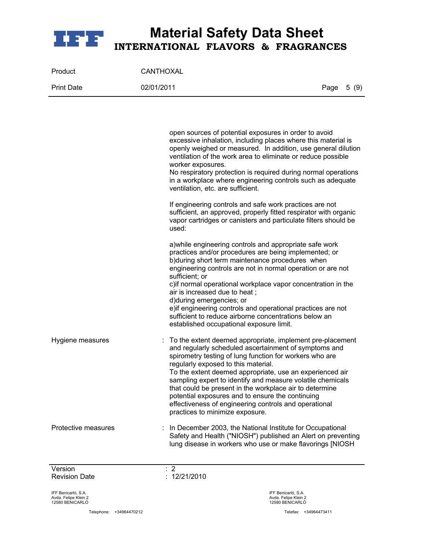

| Product           | CANTHOXAL  |            |
|-------------------|------------|------------|
| <b>Print Date</b> | 02/01/2011 | Page 5 (9) |

|                     | open sources of potential exposures in order to avoid<br>excessive inhalation, including places where this material is<br>openly weighed or measured. In addition, use general dilution<br>ventilation of the work area to eliminate or reduce possible<br>worker exposures.<br>No respiratory protection is required during normal operations<br>in a workplace where engineering controls such as adequate<br>ventilation, etc. are sufficient.                                                                                                           |
|---------------------|-------------------------------------------------------------------------------------------------------------------------------------------------------------------------------------------------------------------------------------------------------------------------------------------------------------------------------------------------------------------------------------------------------------------------------------------------------------------------------------------------------------------------------------------------------------|
|                     | If engineering controls and safe work practices are not<br>sufficient, an approved, properly fitted respirator with organic<br>vapor cartridges or canisters and particulate filters should be<br>used:                                                                                                                                                                                                                                                                                                                                                     |
|                     | a) while engineering controls and appropriate safe work<br>practices and/or procedures are being implemented; or<br>b) during short term maintenance procedures when<br>engineering controls are not in normal operation or are not<br>sufficient; or<br>c) if normal operational workplace vapor concentration in the<br>air is increased due to heat;<br>d) during emergencies; or<br>e) if engineering controls and operational practices are not<br>sufficient to reduce airborne concentrations below an<br>established occupational exposure limit.   |
| Hygiene measures    | : To the extent deemed appropriate, implement pre-placement<br>and regularly scheduled ascertainment of symptoms and<br>spirometry testing of lung function for workers who are<br>regularly exposed to this material.<br>To the extent deemed appropriate, use an experienced air<br>sampling expert to identify and measure volatile chemicals<br>that could be present in the workplace air to determine<br>potential exposures and to ensure the continuing<br>effectiveness of engineering controls and operational<br>practices to minimize exposure. |
| Protective measures | : In December 2003, the National Institute for Occupational<br>Safety and Health ("NIOSH") published an Alert on preventing<br>lung disease in workers who use or make flavorings [NIOSH                                                                                                                                                                                                                                                                                                                                                                    |

Version : 2 Revision Date : 12/21/2010

IFF Benicarló, S.A. Avda. Felipe Klein 2 12580 BENICARLÓ

Telephone: +34964470212 Telefax: +34964473411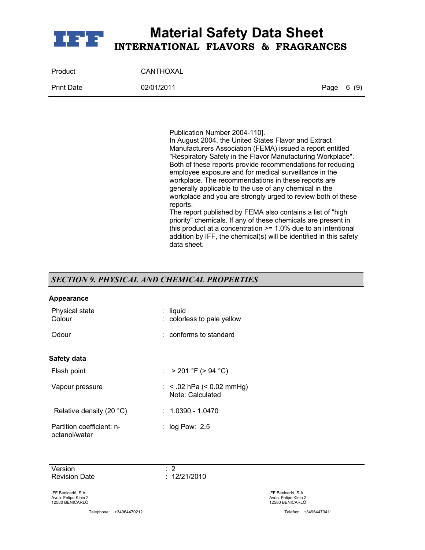

| Product           | CANTHOXAL  |            |  |
|-------------------|------------|------------|--|
| <b>Print Date</b> | 02/01/2011 | Page 6 (9) |  |

Publication Number 2004-110].

In August 2004, the United States Flavor and Extract Manufacturers Association (FEMA) issued a report entitled "Respiratory Safety in the Flavor Manufacturing Workplace". Both of these reports provide recommendations for reducing employee exposure and for medical surveillance in the workplace. The recommendations in these reports are generally applicable to the use of any chemical in the workplace and you are strongly urged to review both of these reports.

The report published by FEMA also contains a list of "high priority" chemicals. If any of these chemicals are present in this product at a concentration >= 1.0% due to an intentional addition by IFF, the chemical(s) will be identified in this safety data sheet.

## *SECTION 9. PHYSICAL AND CHEMICAL PROPERTIES*

#### **Appearance**

| Physical state<br>Colour                   | : liquid<br>: colorless to pale yellow             |
|--------------------------------------------|----------------------------------------------------|
| Odour                                      | $:$ conforms to standard                           |
| Safety data                                |                                                    |
| Flash point                                | : $> 201$ °F ( $> 94$ °C)                          |
| Vapour pressure                            | : $<$ .02 hPa ( $<$ 0.02 mmHg)<br>Note: Calculated |
| Relative density (20 $\degree$ C)          | $: 1.0390 - 1.0470$                                |
| Partition coefficient: n-<br>octanol/water | : $log$ Pow: 2.5                                   |

Version : 2 Revision Date : 12/21/2010

IFF Benicarló, S.A. Avda. Felipe Klein 2 12580 BENICARLÓ

Telephone: +34964470212 Telefax: +34964473411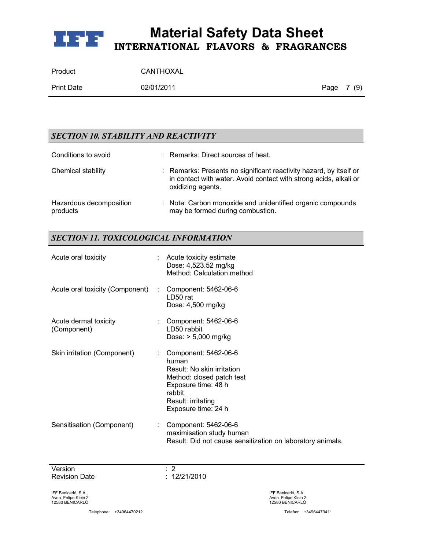

| Product           | CANTHOXAL  |            |  |
|-------------------|------------|------------|--|
| <b>Print Date</b> | 02/01/2011 | Page 7 (9) |  |

## *SECTION 10. STABILITY AND REACTIVITY*

| Conditions to avoid                 | : Remarks: Direct sources of heat.                                                                                                                           |
|-------------------------------------|--------------------------------------------------------------------------------------------------------------------------------------------------------------|
| Chemical stability                  | : Remarks: Presents no significant reactivity hazard, by itself or<br>in contact with water. Avoid contact with strong acids, alkali or<br>oxidizing agents. |
| Hazardous decomposition<br>products | : Note: Carbon monoxide and unidentified organic compounds<br>may be formed during combustion.                                                               |

## *SECTION 11. TOXICOLOGICAL INFORMATION*

| Acute oral toxicity                  |    | Acute toxicity estimate<br>Dose: 4,523.52 mg/kg<br>Method: Calculation method                                                                                          |
|--------------------------------------|----|------------------------------------------------------------------------------------------------------------------------------------------------------------------------|
| Acute oral toxicity (Component)      |    | Component: 5462-06-6<br>LD50 rat<br>Dose: 4,500 mg/kg                                                                                                                  |
| Acute dermal toxicity<br>(Component) |    | Component: 5462-06-6<br>LD50 rabbit<br>Dose: $> 5,000$ mg/kg                                                                                                           |
| Skin irritation (Component)          |    | Component: 5462-06-6<br>human<br>Result: No skin irritation<br>Method: closed patch test<br>Exposure time: 48 h<br>rabbit<br>Result: irritating<br>Exposure time: 24 h |
| Sensitisation (Component)            | ÷. | Component: 5462-06-6<br>maximisation study human<br>Result: Did not cause sensitization on laboratory animals.                                                         |

Version : 2 Revision Date : 12/21/2010

IFF Benicarló, S.A. Avda. Felipe Klein 2 12580 BENICARLÓ

Telephone: +34964470212 Telefax: +34964473411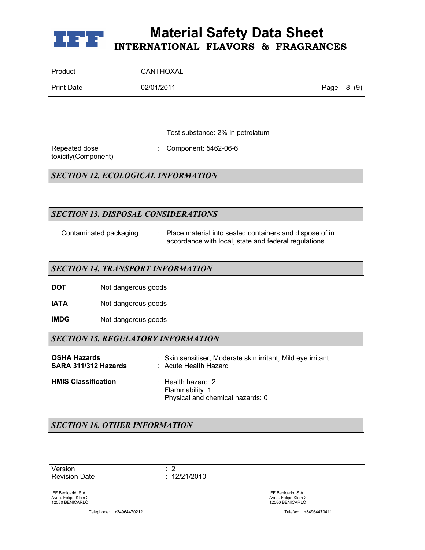

| Product           | CANTHOXAL  |            |  |
|-------------------|------------|------------|--|
| <b>Print Date</b> | 02/01/2011 | Page 8 (9) |  |

Test substance: 2% in petrolatum

Repeated dose toxicity(Component) : Component: 5462-06-6

*SECTION 12. ECOLOGICAL INFORMATION*

## *SECTION 13. DISPOSAL CONSIDERATIONS*

- 
- Contaminated packaging : Place material into sealed containers and dispose of in accordance with local, state and federal regulations.

### *SECTION 14. TRANSPORT INFORMATION*

**DOT** Not dangerous goods

**IATA** Not dangerous goods

**IMDG** Not dangerous goods

## *SECTION 15. REGULATORY INFORMATION*

| <b>OSHA Hazards</b>        | : Skin sensitiser, Moderate skin irritant, Mild eye irritant                         |
|----------------------------|--------------------------------------------------------------------------------------|
| SARA 311/312 Hazards       | : Acute Health Hazard                                                                |
| <b>HMIS Classification</b> | $\therefore$ Health hazard: 2<br>Flammability: 1<br>Physical and chemical hazards: 0 |

## *SECTION 16. OTHER INFORMATION*

Version : 2 Revision Date : 12/21/2010

IFF Benicarló, S.A. Avda. Felipe Klein 2 12580 BENICARLÓ

Telephone: +34964470212 Telefax: +34964473411